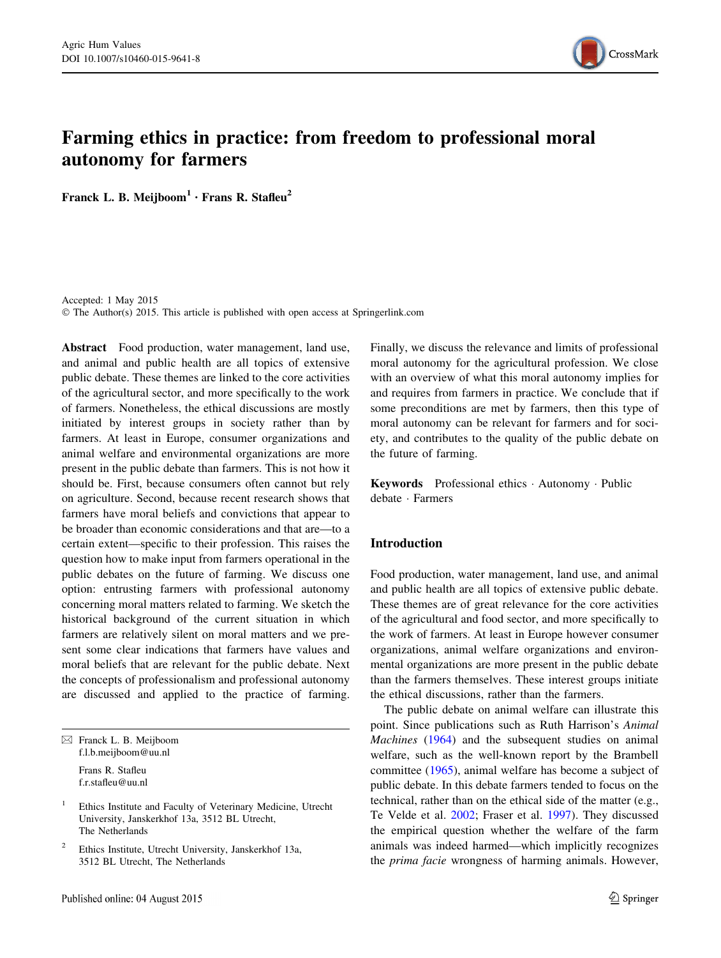

# Farming ethics in practice: from freedom to professional moral autonomy for farmers

Franck L. B. Meijboom<sup>1</sup> · Frans R. Stafleu<sup>2</sup>

Accepted: 1 May 2015 © The Author(s) 2015. This article is published with open access at Springerlink.com

Abstract Food production, water management, land use, and animal and public health are all topics of extensive public debate. These themes are linked to the core activities of the agricultural sector, and more specifically to the work of farmers. Nonetheless, the ethical discussions are mostly initiated by interest groups in society rather than by farmers. At least in Europe, consumer organizations and animal welfare and environmental organizations are more present in the public debate than farmers. This is not how it should be. First, because consumers often cannot but rely on agriculture. Second, because recent research shows that farmers have moral beliefs and convictions that appear to be broader than economic considerations and that are—to a certain extent—specific to their profession. This raises the question how to make input from farmers operational in the public debates on the future of farming. We discuss one option: entrusting farmers with professional autonomy concerning moral matters related to farming. We sketch the historical background of the current situation in which farmers are relatively silent on moral matters and we present some clear indications that farmers have values and moral beliefs that are relevant for the public debate. Next the concepts of professionalism and professional autonomy are discussed and applied to the practice of farming.

 $\boxtimes$  Franck L. B. Meijboom f.l.b.meijboom@uu.nl

Frans R. Stafleu f.r.stafleu@uu.nl

Ethics Institute, Utrecht University, Janskerkhof 13a, 3512 BL Utrecht, The Netherlands

Finally, we discuss the relevance and limits of professional moral autonomy for the agricultural profession. We close with an overview of what this moral autonomy implies for and requires from farmers in practice. We conclude that if some preconditions are met by farmers, then this type of moral autonomy can be relevant for farmers and for society, and contributes to the quality of the public debate on the future of farming.

Keywords Professional ethics - Autonomy - Public debate - Farmers

## Introduction

Food production, water management, land use, and animal and public health are all topics of extensive public debate. These themes are of great relevance for the core activities of the agricultural and food sector, and more specifically to the work of farmers. At least in Europe however consumer organizations, animal welfare organizations and environmental organizations are more present in the public debate than the farmers themselves. These interest groups initiate the ethical discussions, rather than the farmers.

The public debate on animal welfare can illustrate this point. Since publications such as Ruth Harrison's Animal Machines ([1964](#page-10-0)) and the subsequent studies on animal welfare, such as the well-known report by the Brambell committee ([1965\)](#page-10-0), animal welfare has become a subject of public debate. In this debate farmers tended to focus on the technical, rather than on the ethical side of the matter (e.g., Te Velde et al. [2002;](#page-11-0) Fraser et al. [1997](#page-10-0)). They discussed the empirical question whether the welfare of the farm animals was indeed harmed—which implicitly recognizes the prima facie wrongness of harming animals. However,

<sup>1</sup> Ethics Institute and Faculty of Veterinary Medicine, Utrecht University, Janskerkhof 13a, 3512 BL Utrecht, The Netherlands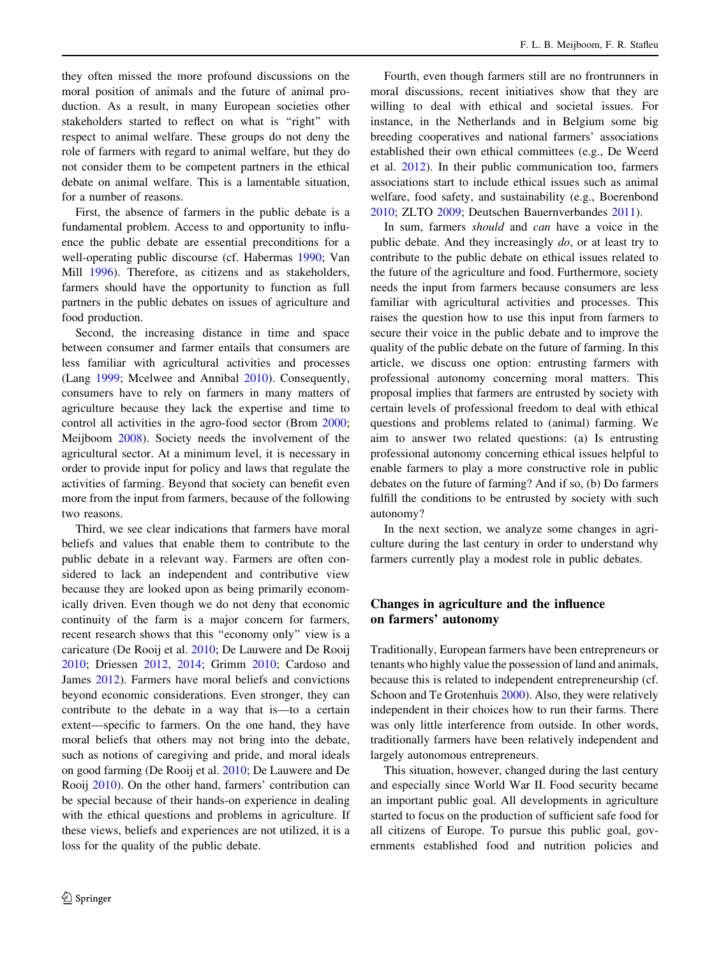they often missed the more profound discussions on the moral position of animals and the future of animal production. As a result, in many European societies other stakeholders started to reflect on what is "right" with respect to animal welfare. These groups do not deny the role of farmers with regard to animal welfare, but they do not consider them to be competent partners in the ethical debate on animal welfare. This is a lamentable situation, for a number of reasons.

First, the absence of farmers in the public debate is a fundamental problem. Access to and opportunity to influence the public debate are essential preconditions for a well-operating public discourse (cf. Habermas [1990;](#page-10-0) Van Mill [1996\)](#page-11-0). Therefore, as citizens and as stakeholders, farmers should have the opportunity to function as full partners in the public debates on issues of agriculture and food production.

Second, the increasing distance in time and space between consumer and farmer entails that consumers are less familiar with agricultural activities and processes (Lang [1999](#page-10-0); Mcelwee and Annibal [2010\)](#page-10-0). Consequently, consumers have to rely on farmers in many matters of agriculture because they lack the expertise and time to control all activities in the agro-food sector (Brom [2000](#page-10-0); Meijboom [2008\)](#page-11-0). Society needs the involvement of the agricultural sector. At a minimum level, it is necessary in order to provide input for policy and laws that regulate the activities of farming. Beyond that society can benefit even more from the input from farmers, because of the following two reasons.

Third, we see clear indications that farmers have moral beliefs and values that enable them to contribute to the public debate in a relevant way. Farmers are often considered to lack an independent and contributive view because they are looked upon as being primarily economically driven. Even though we do not deny that economic continuity of the farm is a major concern for farmers, recent research shows that this "economy only" view is a caricature (De Rooij et al. [2010](#page-10-0); De Lauwere and De Rooij [2010;](#page-10-0) Driessen [2012,](#page-10-0) [2014;](#page-10-0) Grimm [2010](#page-10-0); Cardoso and James [2012](#page-10-0)). Farmers have moral beliefs and convictions beyond economic considerations. Even stronger, they can contribute to the debate in a way that is—to a certain extent—specific to farmers. On the one hand, they have moral beliefs that others may not bring into the debate, such as notions of caregiving and pride, and moral ideals on good farming (De Rooij et al. [2010;](#page-10-0) De Lauwere and De Rooij [2010\)](#page-10-0). On the other hand, farmers' contribution can be special because of their hands-on experience in dealing with the ethical questions and problems in agriculture. If these views, beliefs and experiences are not utilized, it is a loss for the quality of the public debate.

Fourth, even though farmers still are no frontrunners in moral discussions, recent initiatives show that they are willing to deal with ethical and societal issues. For instance, in the Netherlands and in Belgium some big breeding cooperatives and national farmers' associations established their own ethical committees (e.g., De Weerd et al. [2012\)](#page-10-0). In their public communication too, farmers associations start to include ethical issues such as animal welfare, food safety, and sustainability (e.g., Boerenbond [2010](#page-10-0); ZLTO [2009](#page-11-0); Deutschen Bauernverbandes [2011](#page-10-0)).

In sum, farmers *should* and *can* have a voice in the public debate. And they increasingly  $do$ , or at least try to contribute to the public debate on ethical issues related to the future of the agriculture and food. Furthermore, society needs the input from farmers because consumers are less familiar with agricultural activities and processes. This raises the question how to use this input from farmers to secure their voice in the public debate and to improve the quality of the public debate on the future of farming. In this article, we discuss one option: entrusting farmers with professional autonomy concerning moral matters. This proposal implies that farmers are entrusted by society with certain levels of professional freedom to deal with ethical questions and problems related to (animal) farming. We aim to answer two related questions: (a) Is entrusting professional autonomy concerning ethical issues helpful to enable farmers to play a more constructive role in public debates on the future of farming? And if so, (b) Do farmers fulfill the conditions to be entrusted by society with such autonomy?

In the next section, we analyze some changes in agriculture during the last century in order to understand why farmers currently play a modest role in public debates.

# Changes in agriculture and the influence on farmers' autonomy

Traditionally, European farmers have been entrepreneurs or tenants who highly value the possession of land and animals, because this is related to independent entrepreneurship (cf. Schoon and Te Grotenhuis [2000\)](#page-11-0). Also, they were relatively independent in their choices how to run their farms. There was only little interference from outside. In other words, traditionally farmers have been relatively independent and largely autonomous entrepreneurs.

This situation, however, changed during the last century and especially since World War II. Food security became an important public goal. All developments in agriculture started to focus on the production of sufficient safe food for all citizens of Europe. To pursue this public goal, governments established food and nutrition policies and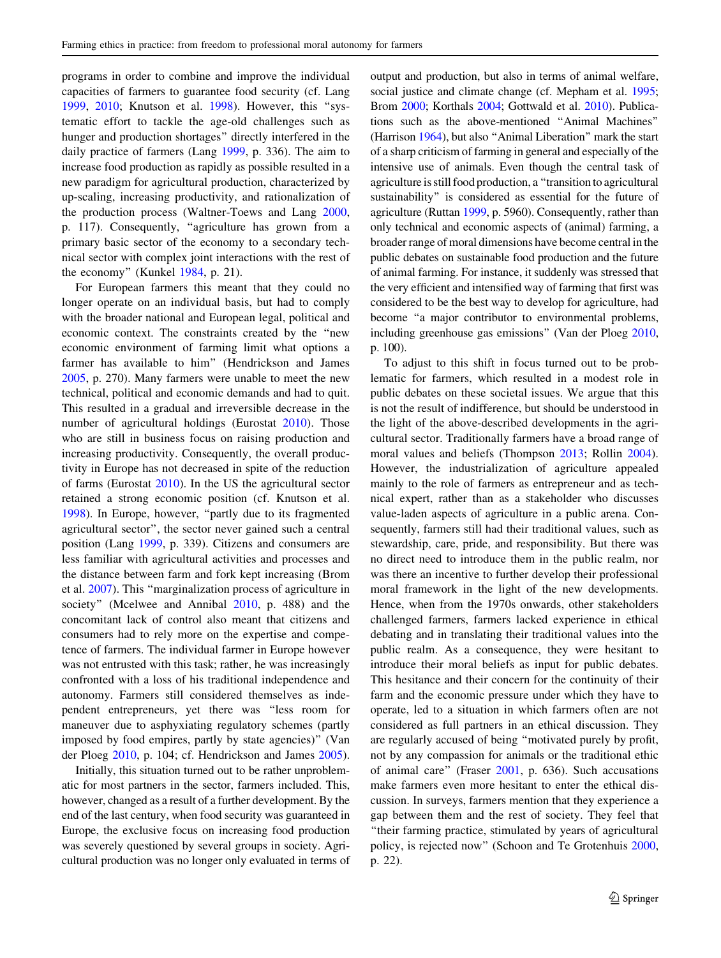programs in order to combine and improve the individual capacities of farmers to guarantee food security (cf. Lang [1999,](#page-10-0) [2010;](#page-10-0) Knutson et al. [1998\)](#page-10-0). However, this ''systematic effort to tackle the age-old challenges such as hunger and production shortages'' directly interfered in the daily practice of farmers (Lang [1999,](#page-10-0) p. 336). The aim to increase food production as rapidly as possible resulted in a new paradigm for agricultural production, characterized by up-scaling, increasing productivity, and rationalization of the production process (Waltner-Toews and Lang [2000,](#page-11-0) p. 117). Consequently, ''agriculture has grown from a primary basic sector of the economy to a secondary technical sector with complex joint interactions with the rest of the economy'' (Kunkel [1984](#page-10-0), p. 21).

For European farmers this meant that they could no longer operate on an individual basis, but had to comply with the broader national and European legal, political and economic context. The constraints created by the ''new economic environment of farming limit what options a farmer has available to him'' (Hendrickson and James [2005,](#page-10-0) p. 270). Many farmers were unable to meet the new technical, political and economic demands and had to quit. This resulted in a gradual and irreversible decrease in the number of agricultural holdings (Eurostat [2010\)](#page-10-0). Those who are still in business focus on raising production and increasing productivity. Consequently, the overall productivity in Europe has not decreased in spite of the reduction of farms (Eurostat [2010](#page-10-0)). In the US the agricultural sector retained a strong economic position (cf. Knutson et al. [1998\)](#page-10-0). In Europe, however, ''partly due to its fragmented agricultural sector'', the sector never gained such a central position (Lang [1999](#page-10-0), p. 339). Citizens and consumers are less familiar with agricultural activities and processes and the distance between farm and fork kept increasing (Brom et al. [2007\)](#page-10-0). This ''marginalization process of agriculture in society" (Mcelwee and Annibal [2010,](#page-10-0) p. 488) and the concomitant lack of control also meant that citizens and consumers had to rely more on the expertise and competence of farmers. The individual farmer in Europe however was not entrusted with this task; rather, he was increasingly confronted with a loss of his traditional independence and autonomy. Farmers still considered themselves as independent entrepreneurs, yet there was ''less room for maneuver due to asphyxiating regulatory schemes (partly imposed by food empires, partly by state agencies)'' (Van der Ploeg [2010,](#page-11-0) p. 104; cf. Hendrickson and James [2005](#page-10-0)).

Initially, this situation turned out to be rather unproblematic for most partners in the sector, farmers included. This, however, changed as a result of a further development. By the end of the last century, when food security was guaranteed in Europe, the exclusive focus on increasing food production was severely questioned by several groups in society. Agricultural production was no longer only evaluated in terms of output and production, but also in terms of animal welfare, social justice and climate change (cf. Mepham et al. [1995](#page-11-0); Brom [2000](#page-10-0); Korthals [2004;](#page-10-0) Gottwald et al. [2010\)](#page-10-0). Publications such as the above-mentioned ''Animal Machines'' (Harrison [1964](#page-10-0)), but also ''Animal Liberation'' mark the start of a sharp criticism of farming in general and especially of the intensive use of animals. Even though the central task of agriculture is still food production, a ''transition to agricultural sustainability'' is considered as essential for the future of agriculture (Ruttan [1999](#page-11-0), p. 5960). Consequently, rather than only technical and economic aspects of (animal) farming, a broader range of moral dimensions have become central in the public debates on sustainable food production and the future of animal farming. For instance, it suddenly was stressed that the very efficient and intensified way of farming that first was considered to be the best way to develop for agriculture, had become ''a major contributor to environmental problems, including greenhouse gas emissions'' (Van der Ploeg [2010,](#page-11-0) p. 100).

To adjust to this shift in focus turned out to be problematic for farmers, which resulted in a modest role in public debates on these societal issues. We argue that this is not the result of indifference, but should be understood in the light of the above-described developments in the agricultural sector. Traditionally farmers have a broad range of moral values and beliefs (Thompson [2013;](#page-11-0) Rollin [2004](#page-11-0)). However, the industrialization of agriculture appealed mainly to the role of farmers as entrepreneur and as technical expert, rather than as a stakeholder who discusses value-laden aspects of agriculture in a public arena. Consequently, farmers still had their traditional values, such as stewardship, care, pride, and responsibility. But there was no direct need to introduce them in the public realm, nor was there an incentive to further develop their professional moral framework in the light of the new developments. Hence, when from the 1970s onwards, other stakeholders challenged farmers, farmers lacked experience in ethical debating and in translating their traditional values into the public realm. As a consequence, they were hesitant to introduce their moral beliefs as input for public debates. This hesitance and their concern for the continuity of their farm and the economic pressure under which they have to operate, led to a situation in which farmers often are not considered as full partners in an ethical discussion. They are regularly accused of being ''motivated purely by profit, not by any compassion for animals or the traditional ethic of animal care'' (Fraser [2001,](#page-10-0) p. 636). Such accusations make farmers even more hesitant to enter the ethical discussion. In surveys, farmers mention that they experience a gap between them and the rest of society. They feel that ''their farming practice, stimulated by years of agricultural policy, is rejected now'' (Schoon and Te Grotenhuis [2000,](#page-11-0) p. 22).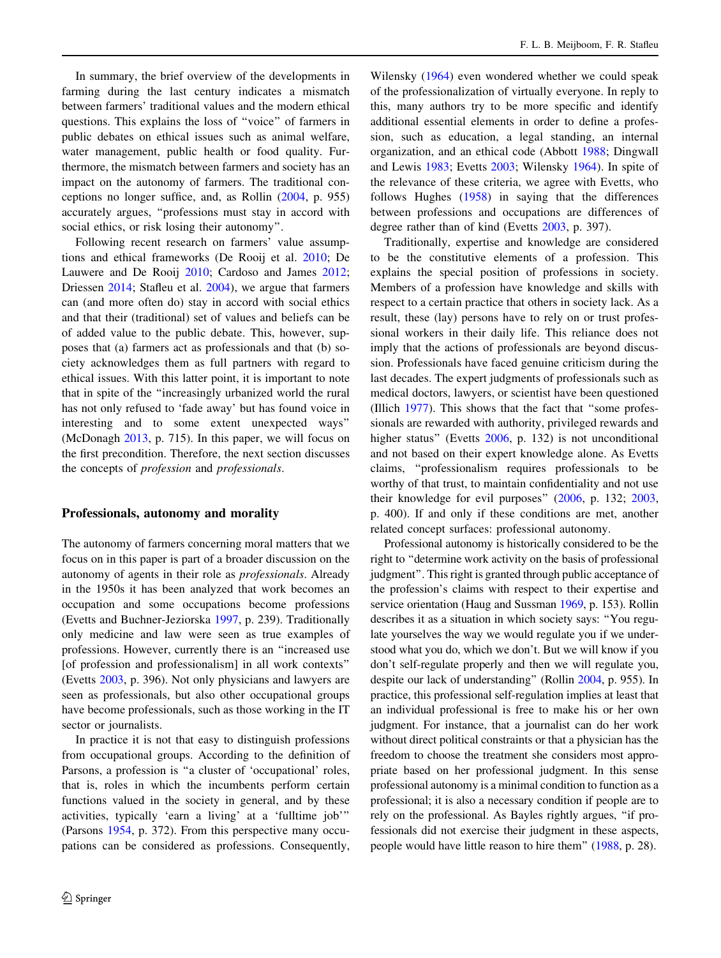In summary, the brief overview of the developments in farming during the last century indicates a mismatch between farmers' traditional values and the modern ethical questions. This explains the loss of ''voice'' of farmers in public debates on ethical issues such as animal welfare, water management, public health or food quality. Furthermore, the mismatch between farmers and society has an impact on the autonomy of farmers. The traditional conceptions no longer suffice, and, as Rollin [\(2004](#page-11-0), p. 955) accurately argues, ''professions must stay in accord with social ethics, or risk losing their autonomy''.

Following recent research on farmers' value assumptions and ethical frameworks (De Rooij et al. [2010](#page-10-0); De Lauwere and De Rooij [2010;](#page-10-0) Cardoso and James [2012](#page-10-0); Driessen [2014](#page-10-0); Stafleu et al. [2004](#page-11-0)), we argue that farmers can (and more often do) stay in accord with social ethics and that their (traditional) set of values and beliefs can be of added value to the public debate. This, however, supposes that (a) farmers act as professionals and that (b) society acknowledges them as full partners with regard to ethical issues. With this latter point, it is important to note that in spite of the ''increasingly urbanized world the rural has not only refused to 'fade away' but has found voice in interesting and to some extent unexpected ways'' (McDonagh [2013,](#page-10-0) p. 715). In this paper, we will focus on the first precondition. Therefore, the next section discusses the concepts of profession and professionals.

#### Professionals, autonomy and morality

The autonomy of farmers concerning moral matters that we focus on in this paper is part of a broader discussion on the autonomy of agents in their role as professionals. Already in the 1950s it has been analyzed that work becomes an occupation and some occupations become professions (Evetts and Buchner-Jeziorska [1997](#page-10-0), p. 239). Traditionally only medicine and law were seen as true examples of professions. However, currently there is an ''increased use [of profession and professionalism] in all work contexts" (Evetts [2003](#page-10-0), p. 396). Not only physicians and lawyers are seen as professionals, but also other occupational groups have become professionals, such as those working in the IT sector or journalists.

In practice it is not that easy to distinguish professions from occupational groups. According to the definition of Parsons, a profession is "a cluster of 'occupational' roles, that is, roles in which the incumbents perform certain functions valued in the society in general, and by these activities, typically 'earn a living' at a 'fulltime job''' (Parsons [1954,](#page-11-0) p. 372). From this perspective many occupations can be considered as professions. Consequently,

Wilensky ([1964\)](#page-11-0) even wondered whether we could speak of the professionalization of virtually everyone. In reply to this, many authors try to be more specific and identify additional essential elements in order to define a profession, such as education, a legal standing, an internal organization, and an ethical code (Abbott [1988;](#page-10-0) Dingwall and Lewis [1983](#page-10-0); Evetts [2003;](#page-10-0) Wilensky [1964](#page-11-0)). In spite of the relevance of these criteria, we agree with Evetts, who follows Hughes ([1958\)](#page-10-0) in saying that the differences between professions and occupations are differences of degree rather than of kind (Evetts [2003,](#page-10-0) p. 397).

Traditionally, expertise and knowledge are considered to be the constitutive elements of a profession. This explains the special position of professions in society. Members of a profession have knowledge and skills with respect to a certain practice that others in society lack. As a result, these (lay) persons have to rely on or trust professional workers in their daily life. This reliance does not imply that the actions of professionals are beyond discussion. Professionals have faced genuine criticism during the last decades. The expert judgments of professionals such as medical doctors, lawyers, or scientist have been questioned (Illich [1977](#page-10-0)). This shows that the fact that ''some professionals are rewarded with authority, privileged rewards and higher status" (Evetts [2006,](#page-10-0) p. 132) is not unconditional and not based on their expert knowledge alone. As Evetts claims, ''professionalism requires professionals to be worthy of that trust, to maintain confidentiality and not use their knowledge for evil purposes'' [\(2006](#page-10-0), p. 132; [2003,](#page-10-0) p. 400). If and only if these conditions are met, another related concept surfaces: professional autonomy.

Professional autonomy is historically considered to be the right to ''determine work activity on the basis of professional judgment''. This right is granted through public acceptance of the profession's claims with respect to their expertise and service orientation (Haug and Sussman [1969](#page-10-0), p. 153). Rollin describes it as a situation in which society says: ''You regulate yourselves the way we would regulate you if we understood what you do, which we don't. But we will know if you don't self-regulate properly and then we will regulate you, despite our lack of understanding'' (Rollin [2004](#page-11-0), p. 955). In practice, this professional self-regulation implies at least that an individual professional is free to make his or her own judgment. For instance, that a journalist can do her work without direct political constraints or that a physician has the freedom to choose the treatment she considers most appropriate based on her professional judgment. In this sense professional autonomy is a minimal condition to function as a professional; it is also a necessary condition if people are to rely on the professional. As Bayles rightly argues, ''if professionals did not exercise their judgment in these aspects, people would have little reason to hire them'' [\(1988,](#page-10-0) p. 28).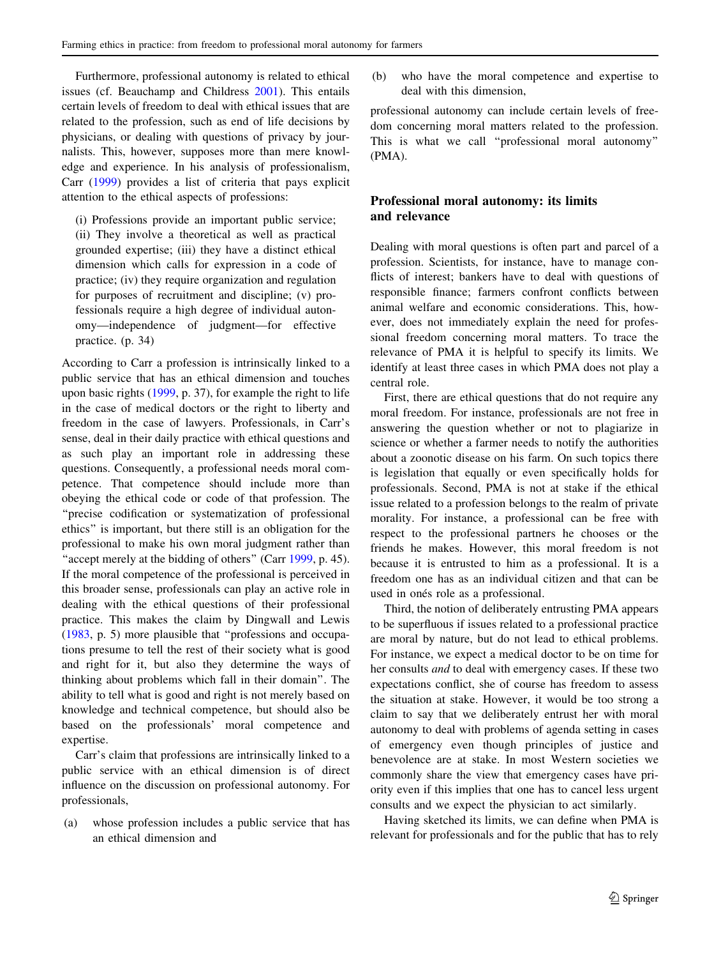Furthermore, professional autonomy is related to ethical issues (cf. Beauchamp and Childress [2001](#page-10-0)). This entails certain levels of freedom to deal with ethical issues that are related to the profession, such as end of life decisions by physicians, or dealing with questions of privacy by journalists. This, however, supposes more than mere knowledge and experience. In his analysis of professionalism, Carr ([1999\)](#page-10-0) provides a list of criteria that pays explicit attention to the ethical aspects of professions:

(i) Professions provide an important public service; (ii) They involve a theoretical as well as practical grounded expertise; (iii) they have a distinct ethical dimension which calls for expression in a code of practice; (iv) they require organization and regulation for purposes of recruitment and discipline; (v) professionals require a high degree of individual autonomy—independence of judgment—for effective practice. (p. 34)

According to Carr a profession is intrinsically linked to a public service that has an ethical dimension and touches upon basic rights [\(1999](#page-10-0), p. 37), for example the right to life in the case of medical doctors or the right to liberty and freedom in the case of lawyers. Professionals, in Carr's sense, deal in their daily practice with ethical questions and as such play an important role in addressing these questions. Consequently, a professional needs moral competence. That competence should include more than obeying the ethical code or code of that profession. The ''precise codification or systematization of professional ethics'' is important, but there still is an obligation for the professional to make his own moral judgment rather than "accept merely at the bidding of others" (Carr [1999,](#page-10-0) p. 45). If the moral competence of the professional is perceived in this broader sense, professionals can play an active role in dealing with the ethical questions of their professional practice. This makes the claim by Dingwall and Lewis [\(1983](#page-10-0), p. 5) more plausible that ''professions and occupations presume to tell the rest of their society what is good and right for it, but also they determine the ways of thinking about problems which fall in their domain''. The ability to tell what is good and right is not merely based on knowledge and technical competence, but should also be based on the professionals' moral competence and expertise.

Carr's claim that professions are intrinsically linked to a public service with an ethical dimension is of direct influence on the discussion on professional autonomy. For professionals,

(a) whose profession includes a public service that has an ethical dimension and

(b) who have the moral competence and expertise to deal with this dimension,

professional autonomy can include certain levels of freedom concerning moral matters related to the profession. This is what we call ''professional moral autonomy'' (PMA).

# Professional moral autonomy: its limits and relevance

Dealing with moral questions is often part and parcel of a profession. Scientists, for instance, have to manage conflicts of interest; bankers have to deal with questions of responsible finance; farmers confront conflicts between animal welfare and economic considerations. This, however, does not immediately explain the need for professional freedom concerning moral matters. To trace the relevance of PMA it is helpful to specify its limits. We identify at least three cases in which PMA does not play a central role.

First, there are ethical questions that do not require any moral freedom. For instance, professionals are not free in answering the question whether or not to plagiarize in science or whether a farmer needs to notify the authorities about a zoonotic disease on his farm. On such topics there is legislation that equally or even specifically holds for professionals. Second, PMA is not at stake if the ethical issue related to a profession belongs to the realm of private morality. For instance, a professional can be free with respect to the professional partners he chooses or the friends he makes. However, this moral freedom is not because it is entrusted to him as a professional. It is a freedom one has as an individual citizen and that can be used in onés role as a professional.

Third, the notion of deliberately entrusting PMA appears to be superfluous if issues related to a professional practice are moral by nature, but do not lead to ethical problems. For instance, we expect a medical doctor to be on time for her consults and to deal with emergency cases. If these two expectations conflict, she of course has freedom to assess the situation at stake. However, it would be too strong a claim to say that we deliberately entrust her with moral autonomy to deal with problems of agenda setting in cases of emergency even though principles of justice and benevolence are at stake. In most Western societies we commonly share the view that emergency cases have priority even if this implies that one has to cancel less urgent consults and we expect the physician to act similarly.

Having sketched its limits, we can define when PMA is relevant for professionals and for the public that has to rely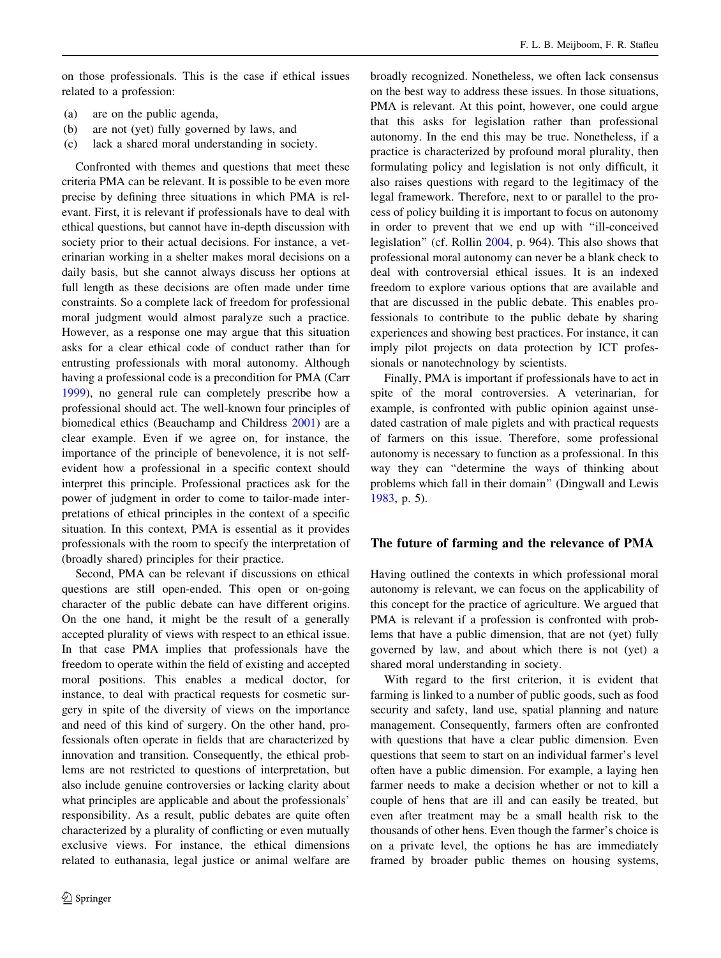on those professionals. This is the case if ethical issues related to a profession:

- (a) are on the public agenda,
- (b) are not (yet) fully governed by laws, and
- (c) lack a shared moral understanding in society.

Confronted with themes and questions that meet these criteria PMA can be relevant. It is possible to be even more precise by defining three situations in which PMA is relevant. First, it is relevant if professionals have to deal with ethical questions, but cannot have in-depth discussion with society prior to their actual decisions. For instance, a veterinarian working in a shelter makes moral decisions on a daily basis, but she cannot always discuss her options at full length as these decisions are often made under time constraints. So a complete lack of freedom for professional moral judgment would almost paralyze such a practice. However, as a response one may argue that this situation asks for a clear ethical code of conduct rather than for entrusting professionals with moral autonomy. Although having a professional code is a precondition for PMA (Carr [1999\)](#page-10-0), no general rule can completely prescribe how a professional should act. The well-known four principles of biomedical ethics (Beauchamp and Childress [2001](#page-10-0)) are a clear example. Even if we agree on, for instance, the importance of the principle of benevolence, it is not selfevident how a professional in a specific context should interpret this principle. Professional practices ask for the power of judgment in order to come to tailor-made interpretations of ethical principles in the context of a specific situation. In this context, PMA is essential as it provides professionals with the room to specify the interpretation of (broadly shared) principles for their practice.

Second, PMA can be relevant if discussions on ethical questions are still open-ended. This open or on-going character of the public debate can have different origins. On the one hand, it might be the result of a generally accepted plurality of views with respect to an ethical issue. In that case PMA implies that professionals have the freedom to operate within the field of existing and accepted moral positions. This enables a medical doctor, for instance, to deal with practical requests for cosmetic surgery in spite of the diversity of views on the importance and need of this kind of surgery. On the other hand, professionals often operate in fields that are characterized by innovation and transition. Consequently, the ethical problems are not restricted to questions of interpretation, but also include genuine controversies or lacking clarity about what principles are applicable and about the professionals' responsibility. As a result, public debates are quite often characterized by a plurality of conflicting or even mutually exclusive views. For instance, the ethical dimensions related to euthanasia, legal justice or animal welfare are broadly recognized. Nonetheless, we often lack consensus on the best way to address these issues. In those situations, PMA is relevant. At this point, however, one could argue that this asks for legislation rather than professional autonomy. In the end this may be true. Nonetheless, if a practice is characterized by profound moral plurality, then formulating policy and legislation is not only difficult, it also raises questions with regard to the legitimacy of the legal framework. Therefore, next to or parallel to the process of policy building it is important to focus on autonomy in order to prevent that we end up with ''ill-conceived legislation'' (cf. Rollin [2004](#page-11-0), p. 964). This also shows that professional moral autonomy can never be a blank check to deal with controversial ethical issues. It is an indexed freedom to explore various options that are available and that are discussed in the public debate. This enables professionals to contribute to the public debate by sharing experiences and showing best practices. For instance, it can imply pilot projects on data protection by ICT professionals or nanotechnology by scientists.

Finally, PMA is important if professionals have to act in spite of the moral controversies. A veterinarian, for example, is confronted with public opinion against unsedated castration of male piglets and with practical requests of farmers on this issue. Therefore, some professional autonomy is necessary to function as a professional. In this way they can ''determine the ways of thinking about problems which fall in their domain'' (Dingwall and Lewis [1983](#page-10-0), p. 5).

## The future of farming and the relevance of PMA

Having outlined the contexts in which professional moral autonomy is relevant, we can focus on the applicability of this concept for the practice of agriculture. We argued that PMA is relevant if a profession is confronted with problems that have a public dimension, that are not (yet) fully governed by law, and about which there is not (yet) a shared moral understanding in society.

With regard to the first criterion, it is evident that farming is linked to a number of public goods, such as food security and safety, land use, spatial planning and nature management. Consequently, farmers often are confronted with questions that have a clear public dimension. Even questions that seem to start on an individual farmer's level often have a public dimension. For example, a laying hen farmer needs to make a decision whether or not to kill a couple of hens that are ill and can easily be treated, but even after treatment may be a small health risk to the thousands of other hens. Even though the farmer's choice is on a private level, the options he has are immediately framed by broader public themes on housing systems,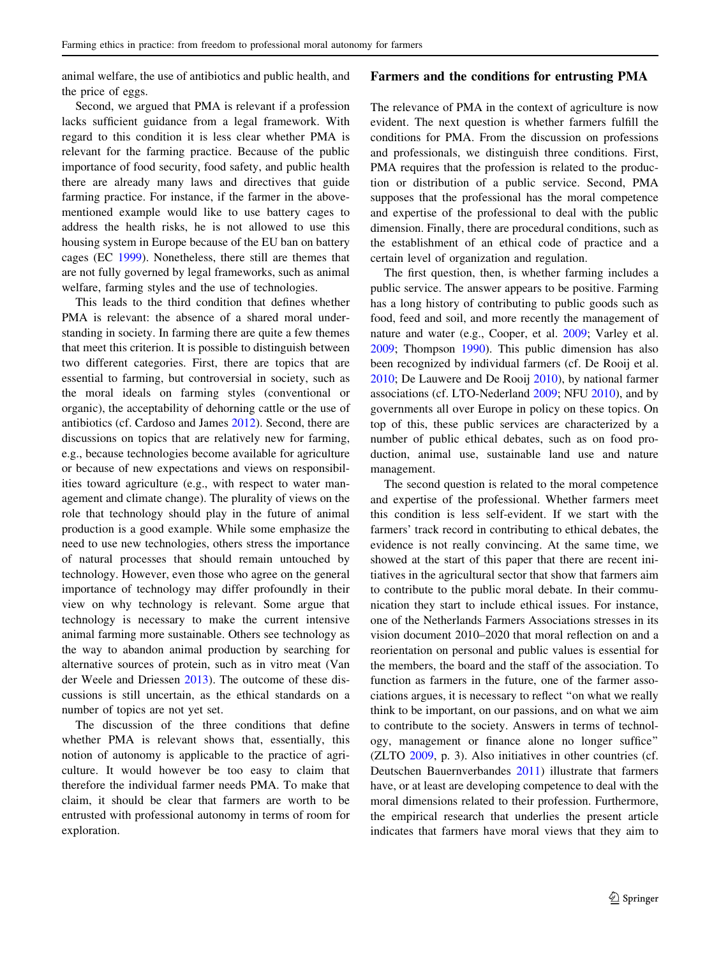animal welfare, the use of antibiotics and public health, and the price of eggs.

#### Farmers and the conditions for entrusting PMA

Second, we argued that PMA is relevant if a profession lacks sufficient guidance from a legal framework. With regard to this condition it is less clear whether PMA is relevant for the farming practice. Because of the public importance of food security, food safety, and public health there are already many laws and directives that guide farming practice. For instance, if the farmer in the abovementioned example would like to use battery cages to address the health risks, he is not allowed to use this housing system in Europe because of the EU ban on battery cages (EC [1999](#page-10-0)). Nonetheless, there still are themes that are not fully governed by legal frameworks, such as animal welfare, farming styles and the use of technologies.

This leads to the third condition that defines whether PMA is relevant: the absence of a shared moral understanding in society. In farming there are quite a few themes that meet this criterion. It is possible to distinguish between two different categories. First, there are topics that are essential to farming, but controversial in society, such as the moral ideals on farming styles (conventional or organic), the acceptability of dehorning cattle or the use of antibiotics (cf. Cardoso and James [2012](#page-10-0)). Second, there are discussions on topics that are relatively new for farming, e.g., because technologies become available for agriculture or because of new expectations and views on responsibilities toward agriculture (e.g., with respect to water management and climate change). The plurality of views on the role that technology should play in the future of animal production is a good example. While some emphasize the need to use new technologies, others stress the importance of natural processes that should remain untouched by technology. However, even those who agree on the general importance of technology may differ profoundly in their view on why technology is relevant. Some argue that technology is necessary to make the current intensive animal farming more sustainable. Others see technology as the way to abandon animal production by searching for alternative sources of protein, such as in vitro meat (Van der Weele and Driessen [2013](#page-11-0)). The outcome of these discussions is still uncertain, as the ethical standards on a number of topics are not yet set.

The discussion of the three conditions that define whether PMA is relevant shows that, essentially, this notion of autonomy is applicable to the practice of agriculture. It would however be too easy to claim that therefore the individual farmer needs PMA. To make that claim, it should be clear that farmers are worth to be entrusted with professional autonomy in terms of room for exploration.

The relevance of PMA in the context of agriculture is now evident. The next question is whether farmers fulfill the conditions for PMA. From the discussion on professions and professionals, we distinguish three conditions. First, PMA requires that the profession is related to the production or distribution of a public service. Second, PMA supposes that the professional has the moral competence and expertise of the professional to deal with the public dimension. Finally, there are procedural conditions, such as the establishment of an ethical code of practice and a certain level of organization and regulation.

The first question, then, is whether farming includes a public service. The answer appears to be positive. Farming has a long history of contributing to public goods such as food, feed and soil, and more recently the management of nature and water (e.g., Cooper, et al. [2009](#page-10-0); Varley et al. [2009](#page-11-0); Thompson [1990\)](#page-11-0). This public dimension has also been recognized by individual farmers (cf. De Rooij et al. [2010](#page-10-0); De Lauwere and De Rooij [2010\)](#page-10-0), by national farmer associations (cf. LTO-Nederland [2009;](#page-10-0) NFU [2010\)](#page-11-0), and by governments all over Europe in policy on these topics. On top of this, these public services are characterized by a number of public ethical debates, such as on food production, animal use, sustainable land use and nature management.

The second question is related to the moral competence and expertise of the professional. Whether farmers meet this condition is less self-evident. If we start with the farmers' track record in contributing to ethical debates, the evidence is not really convincing. At the same time, we showed at the start of this paper that there are recent initiatives in the agricultural sector that show that farmers aim to contribute to the public moral debate. In their communication they start to include ethical issues. For instance, one of the Netherlands Farmers Associations stresses in its vision document 2010–2020 that moral reflection on and a reorientation on personal and public values is essential for the members, the board and the staff of the association. To function as farmers in the future, one of the farmer associations argues, it is necessary to reflect ''on what we really think to be important, on our passions, and on what we aim to contribute to the society. Answers in terms of technology, management or finance alone no longer suffice'' (ZLTO [2009](#page-11-0), p. 3). Also initiatives in other countries (cf. Deutschen Bauernverbandes [2011\)](#page-10-0) illustrate that farmers have, or at least are developing competence to deal with the moral dimensions related to their profession. Furthermore, the empirical research that underlies the present article indicates that farmers have moral views that they aim to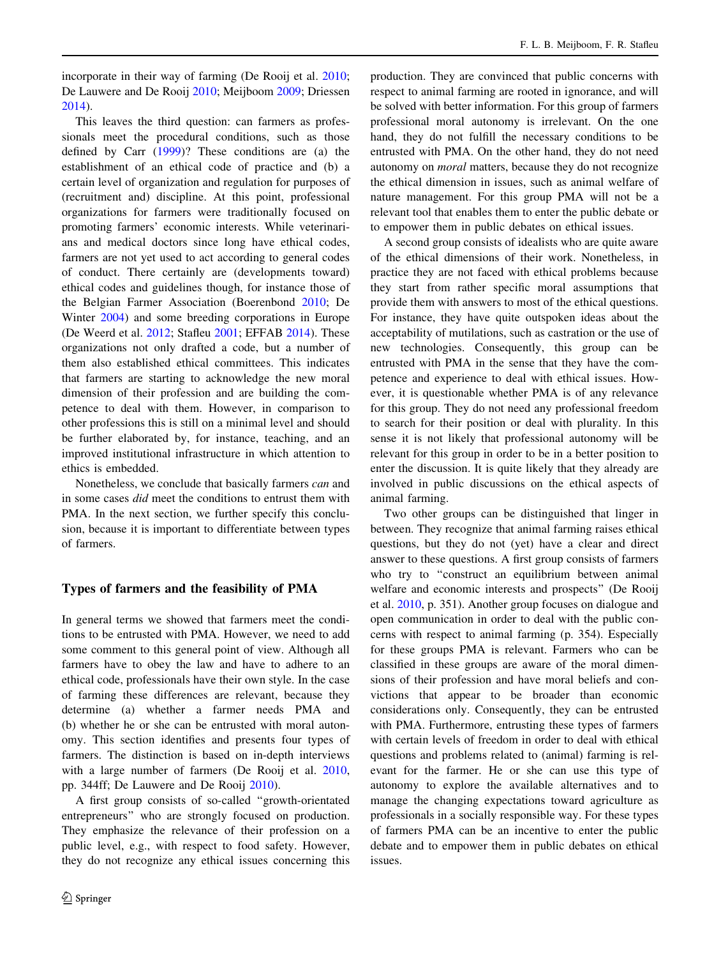incorporate in their way of farming (De Rooij et al. [2010](#page-10-0); De Lauwere and De Rooij [2010](#page-10-0); Meijboom [2009;](#page-11-0) Driessen [2014\)](#page-10-0).

This leaves the third question: can farmers as professionals meet the procedural conditions, such as those defined by Carr ([1999\)](#page-10-0)? These conditions are (a) the establishment of an ethical code of practice and (b) a certain level of organization and regulation for purposes of (recruitment and) discipline. At this point, professional organizations for farmers were traditionally focused on promoting farmers' economic interests. While veterinarians and medical doctors since long have ethical codes, farmers are not yet used to act according to general codes of conduct. There certainly are (developments toward) ethical codes and guidelines though, for instance those of the Belgian Farmer Association (Boerenbond [2010](#page-10-0); De Winter [2004](#page-10-0)) and some breeding corporations in Europe (De Weerd et al. [2012;](#page-10-0) Stafleu [2001](#page-11-0); EFFAB [2014\)](#page-10-0). These organizations not only drafted a code, but a number of them also established ethical committees. This indicates that farmers are starting to acknowledge the new moral dimension of their profession and are building the competence to deal with them. However, in comparison to other professions this is still on a minimal level and should be further elaborated by, for instance, teaching, and an improved institutional infrastructure in which attention to ethics is embedded.

Nonetheless, we conclude that basically farmers can and in some cases did meet the conditions to entrust them with PMA. In the next section, we further specify this conclusion, because it is important to differentiate between types of farmers.

## Types of farmers and the feasibility of PMA

In general terms we showed that farmers meet the conditions to be entrusted with PMA. However, we need to add some comment to this general point of view. Although all farmers have to obey the law and have to adhere to an ethical code, professionals have their own style. In the case of farming these differences are relevant, because they determine (a) whether a farmer needs PMA and (b) whether he or she can be entrusted with moral autonomy. This section identifies and presents four types of farmers. The distinction is based on in-depth interviews with a large number of farmers (De Rooij et al. [2010,](#page-10-0) pp. 344ff; De Lauwere and De Rooij [2010](#page-10-0)).

A first group consists of so-called ''growth-orientated entrepreneurs'' who are strongly focused on production. They emphasize the relevance of their profession on a public level, e.g., with respect to food safety. However, they do not recognize any ethical issues concerning this production. They are convinced that public concerns with respect to animal farming are rooted in ignorance, and will be solved with better information. For this group of farmers professional moral autonomy is irrelevant. On the one hand, they do not fulfill the necessary conditions to be entrusted with PMA. On the other hand, they do not need autonomy on moral matters, because they do not recognize the ethical dimension in issues, such as animal welfare of nature management. For this group PMA will not be a relevant tool that enables them to enter the public debate or to empower them in public debates on ethical issues.

A second group consists of idealists who are quite aware of the ethical dimensions of their work. Nonetheless, in practice they are not faced with ethical problems because they start from rather specific moral assumptions that provide them with answers to most of the ethical questions. For instance, they have quite outspoken ideas about the acceptability of mutilations, such as castration or the use of new technologies. Consequently, this group can be entrusted with PMA in the sense that they have the competence and experience to deal with ethical issues. However, it is questionable whether PMA is of any relevance for this group. They do not need any professional freedom to search for their position or deal with plurality. In this sense it is not likely that professional autonomy will be relevant for this group in order to be in a better position to enter the discussion. It is quite likely that they already are involved in public discussions on the ethical aspects of animal farming.

Two other groups can be distinguished that linger in between. They recognize that animal farming raises ethical questions, but they do not (yet) have a clear and direct answer to these questions. A first group consists of farmers who try to "construct an equilibrium between animal welfare and economic interests and prospects'' (De Rooij et al. [2010](#page-10-0), p. 351). Another group focuses on dialogue and open communication in order to deal with the public concerns with respect to animal farming (p. 354). Especially for these groups PMA is relevant. Farmers who can be classified in these groups are aware of the moral dimensions of their profession and have moral beliefs and convictions that appear to be broader than economic considerations only. Consequently, they can be entrusted with PMA. Furthermore, entrusting these types of farmers with certain levels of freedom in order to deal with ethical questions and problems related to (animal) farming is relevant for the farmer. He or she can use this type of autonomy to explore the available alternatives and to manage the changing expectations toward agriculture as professionals in a socially responsible way. For these types of farmers PMA can be an incentive to enter the public debate and to empower them in public debates on ethical issues.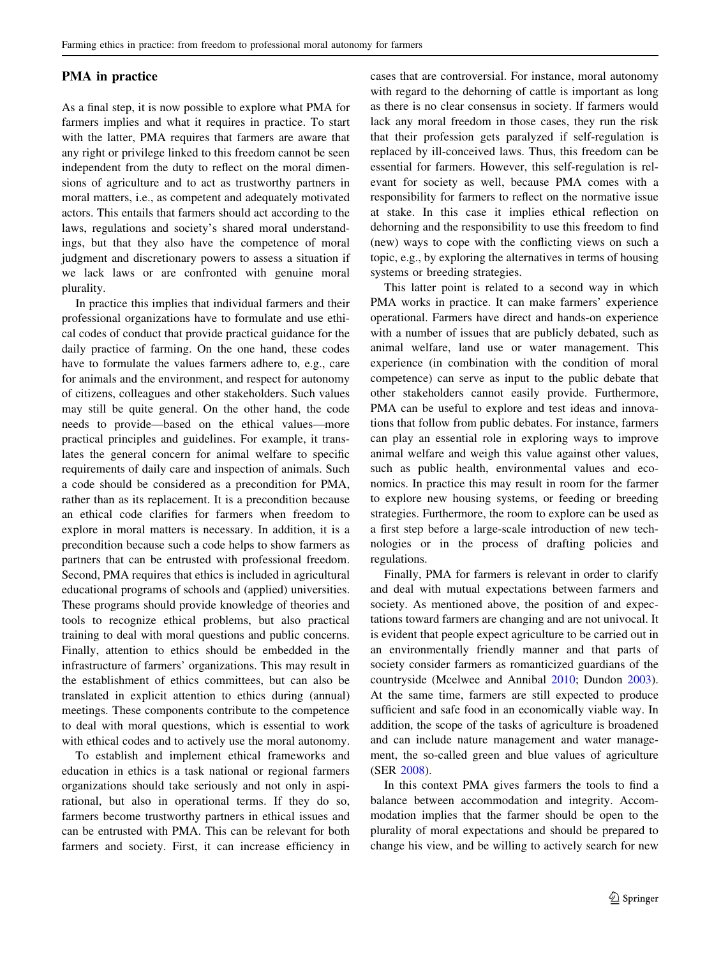# PMA in practice

As a final step, it is now possible to explore what PMA for farmers implies and what it requires in practice. To start with the latter, PMA requires that farmers are aware that any right or privilege linked to this freedom cannot be seen independent from the duty to reflect on the moral dimensions of agriculture and to act as trustworthy partners in moral matters, i.e., as competent and adequately motivated actors. This entails that farmers should act according to the laws, regulations and society's shared moral understandings, but that they also have the competence of moral judgment and discretionary powers to assess a situation if we lack laws or are confronted with genuine moral plurality.

In practice this implies that individual farmers and their professional organizations have to formulate and use ethical codes of conduct that provide practical guidance for the daily practice of farming. On the one hand, these codes have to formulate the values farmers adhere to, e.g., care for animals and the environment, and respect for autonomy of citizens, colleagues and other stakeholders. Such values may still be quite general. On the other hand, the code needs to provide—based on the ethical values—more practical principles and guidelines. For example, it translates the general concern for animal welfare to specific requirements of daily care and inspection of animals. Such a code should be considered as a precondition for PMA, rather than as its replacement. It is a precondition because an ethical code clarifies for farmers when freedom to explore in moral matters is necessary. In addition, it is a precondition because such a code helps to show farmers as partners that can be entrusted with professional freedom. Second, PMA requires that ethics is included in agricultural educational programs of schools and (applied) universities. These programs should provide knowledge of theories and tools to recognize ethical problems, but also practical training to deal with moral questions and public concerns. Finally, attention to ethics should be embedded in the infrastructure of farmers' organizations. This may result in the establishment of ethics committees, but can also be translated in explicit attention to ethics during (annual) meetings. These components contribute to the competence to deal with moral questions, which is essential to work with ethical codes and to actively use the moral autonomy.

To establish and implement ethical frameworks and education in ethics is a task national or regional farmers organizations should take seriously and not only in aspirational, but also in operational terms. If they do so, farmers become trustworthy partners in ethical issues and can be entrusted with PMA. This can be relevant for both farmers and society. First, it can increase efficiency in cases that are controversial. For instance, moral autonomy with regard to the dehorning of cattle is important as long as there is no clear consensus in society. If farmers would lack any moral freedom in those cases, they run the risk that their profession gets paralyzed if self-regulation is replaced by ill-conceived laws. Thus, this freedom can be essential for farmers. However, this self-regulation is relevant for society as well, because PMA comes with a responsibility for farmers to reflect on the normative issue at stake. In this case it implies ethical reflection on dehorning and the responsibility to use this freedom to find (new) ways to cope with the conflicting views on such a topic, e.g., by exploring the alternatives in terms of housing systems or breeding strategies.

This latter point is related to a second way in which PMA works in practice. It can make farmers' experience operational. Farmers have direct and hands-on experience with a number of issues that are publicly debated, such as animal welfare, land use or water management. This experience (in combination with the condition of moral competence) can serve as input to the public debate that other stakeholders cannot easily provide. Furthermore, PMA can be useful to explore and test ideas and innovations that follow from public debates. For instance, farmers can play an essential role in exploring ways to improve animal welfare and weigh this value against other values, such as public health, environmental values and economics. In practice this may result in room for the farmer to explore new housing systems, or feeding or breeding strategies. Furthermore, the room to explore can be used as a first step before a large-scale introduction of new technologies or in the process of drafting policies and regulations.

Finally, PMA for farmers is relevant in order to clarify and deal with mutual expectations between farmers and society. As mentioned above, the position of and expectations toward farmers are changing and are not univocal. It is evident that people expect agriculture to be carried out in an environmentally friendly manner and that parts of society consider farmers as romanticized guardians of the countryside (Mcelwee and Annibal [2010;](#page-10-0) Dundon [2003](#page-10-0)). At the same time, farmers are still expected to produce sufficient and safe food in an economically viable way. In addition, the scope of the tasks of agriculture is broadened and can include nature management and water management, the so-called green and blue values of agriculture (SER [2008](#page-11-0)).

In this context PMA gives farmers the tools to find a balance between accommodation and integrity. Accommodation implies that the farmer should be open to the plurality of moral expectations and should be prepared to change his view, and be willing to actively search for new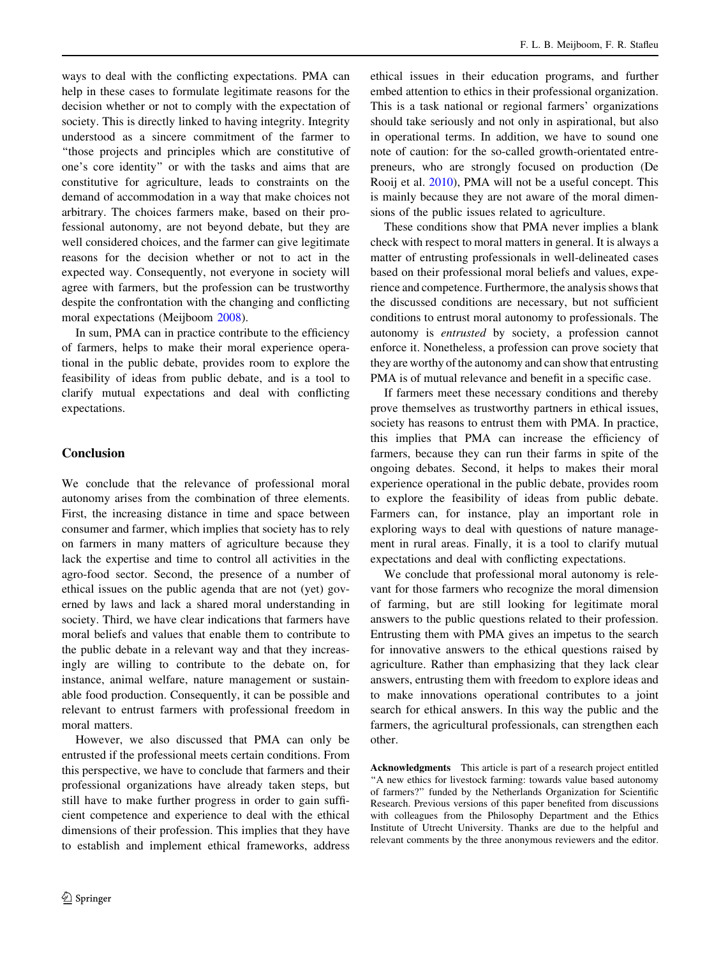ways to deal with the conflicting expectations. PMA can help in these cases to formulate legitimate reasons for the decision whether or not to comply with the expectation of society. This is directly linked to having integrity. Integrity understood as a sincere commitment of the farmer to ''those projects and principles which are constitutive of one's core identity'' or with the tasks and aims that are constitutive for agriculture, leads to constraints on the demand of accommodation in a way that make choices not arbitrary. The choices farmers make, based on their professional autonomy, are not beyond debate, but they are well considered choices, and the farmer can give legitimate reasons for the decision whether or not to act in the expected way. Consequently, not everyone in society will agree with farmers, but the profession can be trustworthy despite the confrontation with the changing and conflicting moral expectations (Meijboom [2008\)](#page-11-0).

In sum, PMA can in practice contribute to the efficiency of farmers, helps to make their moral experience operational in the public debate, provides room to explore the feasibility of ideas from public debate, and is a tool to clarify mutual expectations and deal with conflicting expectations.

# Conclusion

We conclude that the relevance of professional moral autonomy arises from the combination of three elements. First, the increasing distance in time and space between consumer and farmer, which implies that society has to rely on farmers in many matters of agriculture because they lack the expertise and time to control all activities in the agro-food sector. Second, the presence of a number of ethical issues on the public agenda that are not (yet) governed by laws and lack a shared moral understanding in society. Third, we have clear indications that farmers have moral beliefs and values that enable them to contribute to the public debate in a relevant way and that they increasingly are willing to contribute to the debate on, for instance, animal welfare, nature management or sustainable food production. Consequently, it can be possible and relevant to entrust farmers with professional freedom in moral matters.

However, we also discussed that PMA can only be entrusted if the professional meets certain conditions. From this perspective, we have to conclude that farmers and their professional organizations have already taken steps, but still have to make further progress in order to gain sufficient competence and experience to deal with the ethical dimensions of their profession. This implies that they have to establish and implement ethical frameworks, address ethical issues in their education programs, and further embed attention to ethics in their professional organization. This is a task national or regional farmers' organizations should take seriously and not only in aspirational, but also in operational terms. In addition, we have to sound one note of caution: for the so-called growth-orientated entrepreneurs, who are strongly focused on production (De Rooij et al. [2010](#page-10-0)), PMA will not be a useful concept. This is mainly because they are not aware of the moral dimensions of the public issues related to agriculture.

These conditions show that PMA never implies a blank check with respect to moral matters in general. It is always a matter of entrusting professionals in well-delineated cases based on their professional moral beliefs and values, experience and competence. Furthermore, the analysis shows that the discussed conditions are necessary, but not sufficient conditions to entrust moral autonomy to professionals. The autonomy is entrusted by society, a profession cannot enforce it. Nonetheless, a profession can prove society that they are worthy of the autonomy and can show that entrusting PMA is of mutual relevance and benefit in a specific case.

If farmers meet these necessary conditions and thereby prove themselves as trustworthy partners in ethical issues, society has reasons to entrust them with PMA. In practice, this implies that PMA can increase the efficiency of farmers, because they can run their farms in spite of the ongoing debates. Second, it helps to makes their moral experience operational in the public debate, provides room to explore the feasibility of ideas from public debate. Farmers can, for instance, play an important role in exploring ways to deal with questions of nature management in rural areas. Finally, it is a tool to clarify mutual expectations and deal with conflicting expectations.

We conclude that professional moral autonomy is relevant for those farmers who recognize the moral dimension of farming, but are still looking for legitimate moral answers to the public questions related to their profession. Entrusting them with PMA gives an impetus to the search for innovative answers to the ethical questions raised by agriculture. Rather than emphasizing that they lack clear answers, entrusting them with freedom to explore ideas and to make innovations operational contributes to a joint search for ethical answers. In this way the public and the farmers, the agricultural professionals, can strengthen each other.

Acknowledgments This article is part of a research project entitled ''A new ethics for livestock farming: towards value based autonomy of farmers?'' funded by the Netherlands Organization for Scientific Research. Previous versions of this paper benefited from discussions with colleagues from the Philosophy Department and the Ethics Institute of Utrecht University. Thanks are due to the helpful and relevant comments by the three anonymous reviewers and the editor.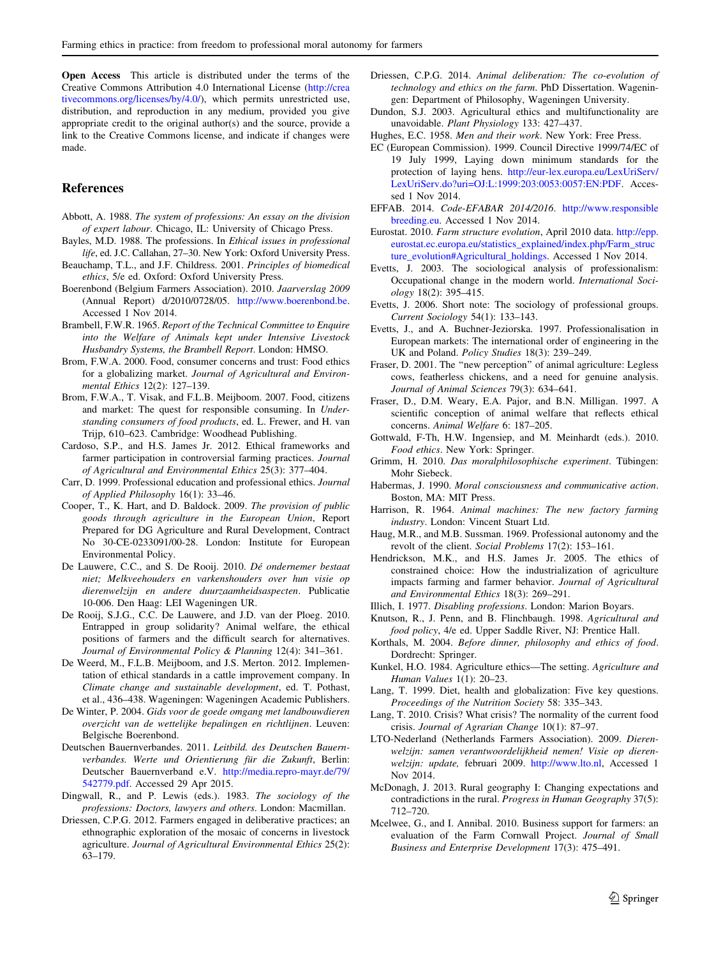<span id="page-10-0"></span>Open Access This article is distributed under the terms of the Creative Commons Attribution 4.0 International License ([http://crea](http://creativecommons.org/licenses/by/4.0/) [tivecommons.org/licenses/by/4.0/\)](http://creativecommons.org/licenses/by/4.0/), which permits unrestricted use, distribution, and reproduction in any medium, provided you give appropriate credit to the original author(s) and the source, provide a link to the Creative Commons license, and indicate if changes were made.

### References

- Abbott, A. 1988. The system of professions: An essay on the division of expert labour. Chicago, IL: University of Chicago Press.
- Bayles, M.D. 1988. The professions. In Ethical issues in professional life, ed. J.C. Callahan, 27–30. New York: Oxford University Press.
- Beauchamp, T.L., and J.F. Childress. 2001. Principles of biomedical ethics, 5/e ed. Oxford: Oxford University Press.
- Boerenbond (Belgium Farmers Association). 2010. Jaarverslag 2009 (Annual Report) d/2010/0728/05. <http://www.boerenbond.be>. Accessed 1 Nov 2014.
- Brambell, F.W.R. 1965. Report of the Technical Committee to Enquire into the Welfare of Animals kept under Intensive Livestock Husbandry Systems, the Brambell Report. London: HMSO.
- Brom, F.W.A. 2000. Food, consumer concerns and trust: Food ethics for a globalizing market. Journal of Agricultural and Environmental Ethics 12(2): 127–139.
- Brom, F.W.A., T. Visak, and F.L.B. Meijboom. 2007. Food, citizens and market: The quest for responsible consuming. In Understanding consumers of food products, ed. L. Frewer, and H. van Trijp, 610–623. Cambridge: Woodhead Publishing.
- Cardoso, S.P., and H.S. James Jr. 2012. Ethical frameworks and farmer participation in controversial farming practices. Journal of Agricultural and Environmental Ethics 25(3): 377–404.
- Carr, D. 1999. Professional education and professional ethics. Journal of Applied Philosophy 16(1): 33–46.
- Cooper, T., K. Hart, and D. Baldock. 2009. The provision of public goods through agriculture in the European Union, Report Prepared for DG Agriculture and Rural Development, Contract No 30-CE-0233091/00-28. London: Institute for European Environmental Policy.
- De Lauwere, C.C., and S. De Rooij. 2010. Dé ondernemer bestaat niet; Melkveehouders en varkenshouders over hun visie op dierenwelzijn en andere duurzaamheidsaspecten. Publicatie 10-006. Den Haag: LEI Wageningen UR.
- De Rooij, S.J.G., C.C. De Lauwere, and J.D. van der Ploeg. 2010. Entrapped in group solidarity? Animal welfare, the ethical positions of farmers and the difficult search for alternatives. Journal of Environmental Policy & Planning 12(4): 341–361.
- De Weerd, M., F.L.B. Meijboom, and J.S. Merton. 2012. Implementation of ethical standards in a cattle improvement company. In Climate change and sustainable development, ed. T. Pothast, et al., 436–438. Wageningen: Wageningen Academic Publishers.
- De Winter, P. 2004. Gids voor de goede omgang met landbouwdieren overzicht van de wettelijke bepalingen en richtlijnen. Leuven: Belgische Boerenbond.
- Deutschen Bauernverbandes. 2011. Leitbild. des Deutschen Bauernverbandes. Werte und Orientierung für die Zukunft, Berlin: Deutscher Bauernverband e.V. [http://media.repro-mayr.de/79/](http://media.repro-mayr.de/79/542779.pdf) [542779.pdf.](http://media.repro-mayr.de/79/542779.pdf) Accessed 29 Apr 2015.
- Dingwall, R., and P. Lewis (eds.). 1983. The sociology of the professions: Doctors, lawyers and others. London: Macmillan.
- Driessen, C.P.G. 2012. Farmers engaged in deliberative practices; an ethnographic exploration of the mosaic of concerns in livestock agriculture. Journal of Agricultural Environmental Ethics 25(2): 63–179.
- Driessen, C.P.G. 2014. Animal deliberation: The co-evolution of technology and ethics on the farm. PhD Dissertation. Wageningen: Department of Philosophy, Wageningen University.
- Dundon, S.J. 2003. Agricultural ethics and multifunctionality are unavoidable. Plant Physiology 133: 427–437.
- Hughes, E.C. 1958. Men and their work. New York: Free Press.
- EC (European Commission). 1999. Council Directive 1999/74/EC of 19 July 1999, Laying down minimum standards for the protection of laying hens. [http://eur-lex.europa.eu/LexUriServ/](http://eur-lex.europa.eu/LexUriServ/LexUriServ.do%3furi%3dOJ:L:1999:203:0053:0057:EN:PDF) [LexUriServ.do?uri=OJ:L:1999:203:0053:0057:EN:PDF](http://eur-lex.europa.eu/LexUriServ/LexUriServ.do%3furi%3dOJ:L:1999:203:0053:0057:EN:PDF). Accessed 1 Nov 2014.
- EFFAB. 2014. Code-EFABAR 2014/2016. [http://www.responsible](http://www.responsiblebreeding.eu) [breeding.eu](http://www.responsiblebreeding.eu). Accessed 1 Nov 2014.
- Eurostat. 2010. Farm structure evolution, April 2010 data. [http://epp.](http://epp.eurostat.ec.europa.eu/statistics_explained/index.php/Farm_structure_evolution%23Agricultural_holdings) [eurostat.ec.europa.eu/statistics\\_explained/index.php/Farm\\_struc](http://epp.eurostat.ec.europa.eu/statistics_explained/index.php/Farm_structure_evolution%23Agricultural_holdings) [ture\\_evolution#Agricultural\\_holdings.](http://epp.eurostat.ec.europa.eu/statistics_explained/index.php/Farm_structure_evolution%23Agricultural_holdings) Accessed 1 Nov 2014.
- Evetts, J. 2003. The sociological analysis of professionalism: Occupational change in the modern world. International Sociology 18(2): 395–415.
- Evetts, J. 2006. Short note: The sociology of professional groups. Current Sociology 54(1): 133–143.
- Evetts, J., and A. Buchner-Jeziorska. 1997. Professionalisation in European markets: The international order of engineering in the UK and Poland. Policy Studies 18(3): 239–249.
- Fraser, D. 2001. The ''new perception'' of animal agriculture: Legless cows, featherless chickens, and a need for genuine analysis. Journal of Animal Sciences 79(3): 634–641.
- Fraser, D., D.M. Weary, E.A. Pajor, and B.N. Milligan. 1997. A scientific conception of animal welfare that reflects ethical concerns. Animal Welfare 6: 187–205.
- Gottwald, F-Th, H.W. Ingensiep, and M. Meinhardt (eds.). 2010. Food ethics. New York: Springer.
- Grimm, H. 2010. Das moralphilosophische experiment. Tübingen: Mohr Siebeck.
- Habermas, J. 1990. Moral consciousness and communicative action. Boston, MA: MIT Press.
- Harrison, R. 1964. Animal machines: The new factory farming industry. London: Vincent Stuart Ltd.
- Haug, M.R., and M.B. Sussman. 1969. Professional autonomy and the revolt of the client. Social Problems 17(2): 153–161.
- Hendrickson, M.K., and H.S. James Jr. 2005. The ethics of constrained choice: How the industrialization of agriculture impacts farming and farmer behavior. Journal of Agricultural and Environmental Ethics 18(3): 269–291.
- Illich, I. 1977. Disabling professions. London: Marion Boyars.
- Knutson, R., J. Penn, and B. Flinchbaugh. 1998. Agricultural and food policy, 4/e ed. Upper Saddle River, NJ: Prentice Hall.
- Korthals, M. 2004. Before dinner, philosophy and ethics of food. Dordrecht: Springer.
- Kunkel, H.O. 1984. Agriculture ethics—The setting. Agriculture and Human Values 1(1): 20–23.
- Lang, T. 1999. Diet, health and globalization: Five key questions. Proceedings of the Nutrition Society 58: 335–343.
- Lang, T. 2010. Crisis? What crisis? The normality of the current food crisis. Journal of Agrarian Change 10(1): 87–97.
- LTO-Nederland (Netherlands Farmers Association). 2009. Dierenwelzijn: samen verantwoordelijkheid nemen! Visie op dierenwelzijn: update, februari 2009. <http://www.lto.nl>, Accessed 1 Nov 2014.
- McDonagh, J. 2013. Rural geography I: Changing expectations and contradictions in the rural. Progress in Human Geography 37(5): 712–720.
- Mcelwee, G., and I. Annibal. 2010. Business support for farmers: an evaluation of the Farm Cornwall Project. Journal of Small Business and Enterprise Development 17(3): 475–491.